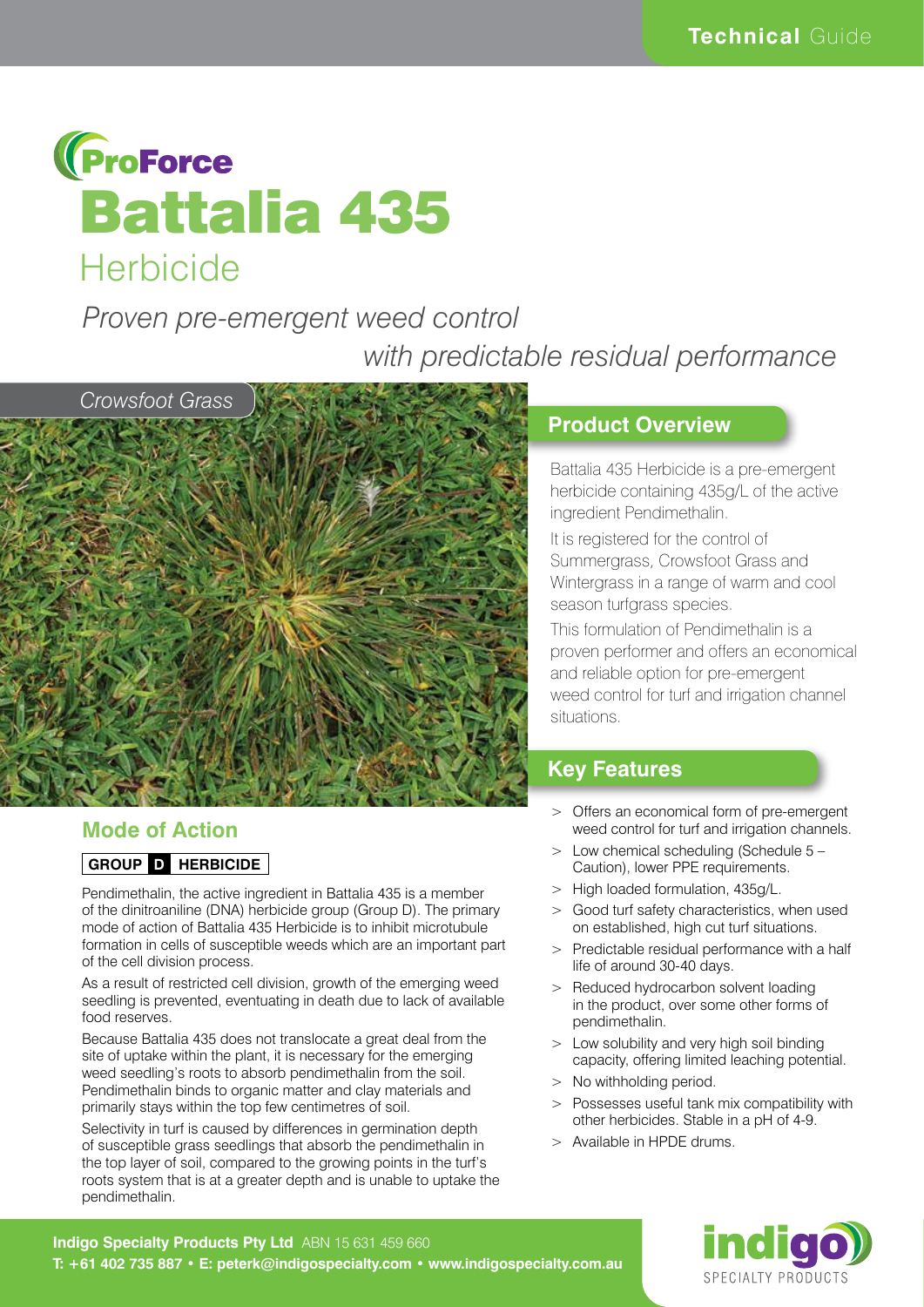

# *Proven pre-emergent weed control with predictable residual performance*



### **Mode of Action**

#### **GROUP D HERBICIDE**

Pendimethalin, the active ingredient in Battalia 435 is a member of the dinitroaniline (DNA) herbicide group (Group D). The primary mode of action of Battalia 435 Herbicide is to inhibit microtubule formation in cells of susceptible weeds which are an important part of the cell division process.

As a result of restricted cell division, growth of the emerging weed seedling is prevented, eventuating in death due to lack of available food reserves.

Because Battalia 435 does not translocate a great deal from the site of uptake within the plant, it is necessary for the emerging weed seedling's roots to absorb pendimethalin from the soil. Pendimethalin binds to organic matter and clay materials and primarily stays within the top few centimetres of soil.

Selectivity in turf is caused by differences in germination depth of susceptible grass seedlings that absorb the pendimethalin in the top layer of soil, compared to the growing points in the turf's roots system that is at a greater depth and is unable to uptake the pendimethalin.

#### **Product Overview**

Battalia 435 Herbicide is a pre-emergent herbicide containing 435g/L of the active ingredient Pendimethalin.

It is registered for the control of Summergrass, Crowsfoot Grass and Wintergrass in a range of warm and cool season turfgrass species.

This formulation of Pendimethalin is a proven performer and offers an economical and reliable option for pre-emergent weed control for turf and irrigation channel situations.

### **Key Features**

- > Offers an economical form of pre-emergent weed control for turf and irrigation channels.
- > Low chemical scheduling (Schedule 5 Caution), lower PPE requirements.
- > High loaded formulation, 435g/L.
- > Good turf safety characteristics, when used on established, high cut turf situations.
- > Predictable residual performance with a half life of around 30-40 days.
- > Reduced hydrocarbon solvent loading in the product, over some other forms of pendimethalin.
- > Low solubility and very high soil binding capacity, offering limited leaching potential.
- > No withholding period.
- > Possesses useful tank mix compatibility with other herbicides. Stable in a pH of 4-9.
- > Available in HPDE drums.